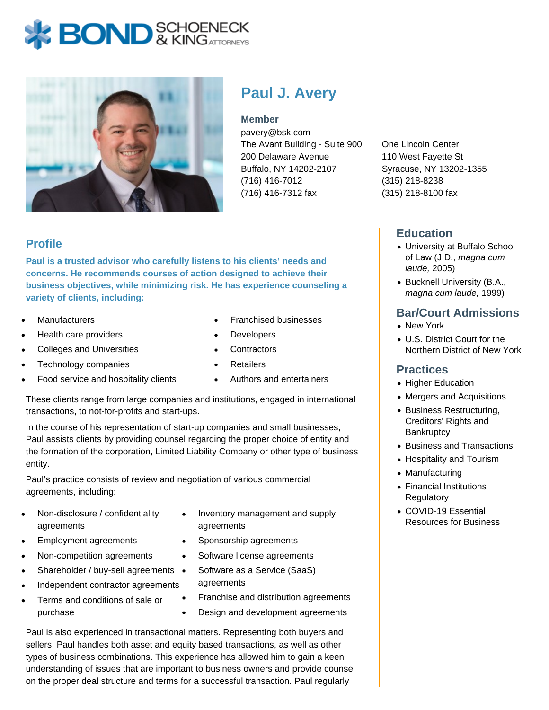# **BOND** & KINGATTORNECK



## **Paul J. Avery**

#### **Member**

pavery@bsk.com The Avant Building - Suite 900 200 Delaware Avenue Buffalo, NY 14202-2107 (716) 416-7012 (716) 416-7312 fax

One Lincoln Center 110 West Fayette St Syracuse, NY 13202-1355 (315) 218-8238 (315) 218-8100 fax

## **Education**

- University at Buffalo School of Law (J.D., magna cum laude, 2005)
- Bucknell University (B.A., magna cum laude, 1999)

## **Bar/Court Admissions**

- New York
- U.S. District Court for the Northern District of New York

#### **Practices**

- Higher Education
- Mergers and Acquisitions
- Business Restructuring, Creditors' Rights and **Bankruptcy**
- Business and Transactions
- Hospitality and Tourism
- Manufacturing
- Financial Institutions **Regulatory**
- COVID-19 Essential Resources for Business

## **Profile**

**Paul is a trusted advisor who carefully listens to his clients' needs and concerns. He recommends courses of action designed to achieve their business objectives, while minimizing risk. He has experience counseling a variety of clients, including:**

- **Manufacturers**
- Health care providers
- Colleges and Universities
- Technology companies
- Food service and hospitality clients
- Franchised businesses
- Developers
- **Contractors**
- **Retailers**
- Authors and entertainers

These clients range from large companies and institutions, engaged in international transactions, to not-for-profits and start-ups.

In the course of his representation of start-up companies and small businesses, Paul assists clients by providing counsel regarding the proper choice of entity and the formation of the corporation, Limited Liability Company or other type of business entity.

Paul's practice consists of review and negotiation of various commercial agreements, including:

- Non-disclosure / confidentiality agreements
- Employment agreements
- Non-competition agreements
- Shareholder / buy-sell agreements •
- Independent contractor agreements
- Terms and conditions of sale or  $\bullet$ purchase
- Inventory management and supply agreements
- Sponsorship agreements
- $\bullet$ Software license agreements
	- Software as a Service (SaaS) agreements
- Franchise and distribution agreements
- Design and development agreements

Paul is also experienced in transactional matters. Representing both buyers and sellers, Paul handles both asset and equity based transactions, as well as other types of business combinations. This experience has allowed him to gain a keen understanding of issues that are important to business owners and provide counsel on the proper deal structure and terms for a successful transaction. Paul regularly